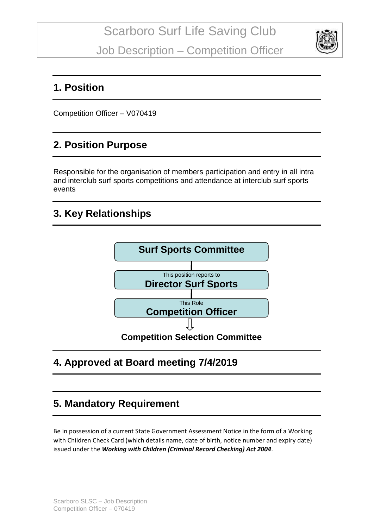

### **1. Position**

Competition Officer – V070419

## **2. Position Purpose**

Responsible for the organisation of members participation and entry in all intra and interclub surf sports competitions and attendance at interclub surf sports events

### **3. Key Relationships**



# **4. Approved at Board meeting 7/4/2019**

# **5. Mandatory Requirement**

Be in possession of a current State Government Assessment Notice in the form of a Working with Children Check Card (which details name, date of birth, notice number and expiry date) issued under the *Working with Children (Criminal Record Checking) Act 2004*.